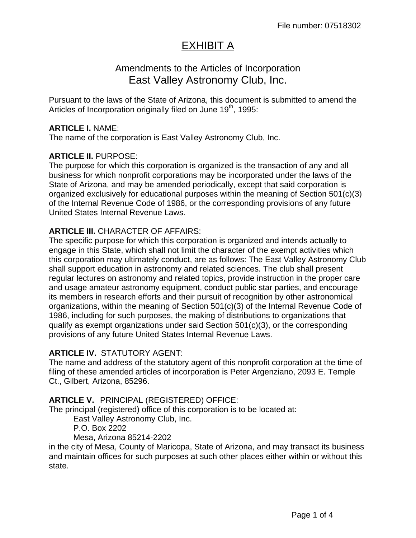# EXHIBIT A

# Amendments to the Articles of Incorporation East Valley Astronomy Club, Inc.

Pursuant to the laws of the State of Arizona, this document is submitted to amend the Articles of Incorporation originally filed on June  $19<sup>th</sup>$ , 1995:

#### **ARTICLE I.** NAME:

The name of the corporation is East Valley Astronomy Club, Inc.

#### **ARTICLE II.** PURPOSE:

The purpose for which this corporation is organized is the transaction of any and all business for which nonprofit corporations may be incorporated under the laws of the State of Arizona, and may be amended periodically, except that said corporation is organized exclusively for educational purposes within the meaning of Section 501(c)(3) of the Internal Revenue Code of 1986, or the corresponding provisions of any future United States Internal Revenue Laws.

# **ARTICLE III.** CHARACTER OF AFFAIRS:

The specific purpose for which this corporation is organized and intends actually to engage in this State, which shall not limit the character of the exempt activities which this corporation may ultimately conduct, are as follows: The East Valley Astronomy Club shall support education in astronomy and related sciences. The club shall present regular lectures on astronomy and related topics, provide instruction in the proper care and usage amateur astronomy equipment, conduct public star parties, and encourage its members in research efforts and their pursuit of recognition by other astronomical organizations, within the meaning of Section 501(c)(3) of the Internal Revenue Code of 1986, including for such purposes, the making of distributions to organizations that qualify as exempt organizations under said Section 501(c)(3), or the corresponding provisions of any future United States Internal Revenue Laws.

#### **ARTICLE IV.** STATUTORY AGENT:

The name and address of the statutory agent of this nonprofit corporation at the time of filing of these amended articles of incorporation is Peter Argenziano, 2093 E. Temple Ct., Gilbert, Arizona, 85296.

#### **ARTICLE V.** PRINCIPAL (REGISTERED) OFFICE:

The principal (registered) office of this corporation is to be located at:

East Valley Astronomy Club, Inc.

P.O. Box 2202

Mesa, Arizona 85214-2202

in the city of Mesa, County of Maricopa, State of Arizona, and may transact its business and maintain offices for such purposes at such other places either within or without this state.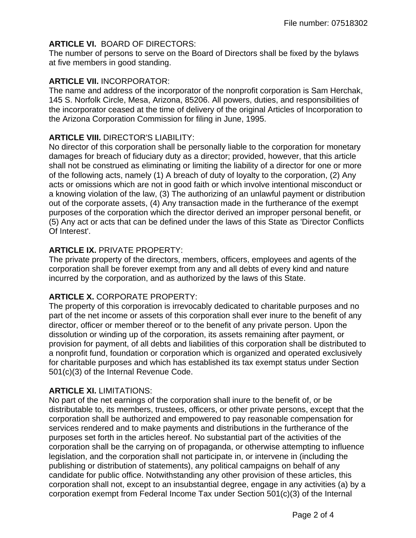# **ARTICLE VI.** BOARD OF DIRECTORS:

The number of persons to serve on the Board of Directors shall be fixed by the bylaws at five members in good standing.

#### **ARTICLE VII.** INCORPORATOR:

The name and address of the incorporator of the nonprofit corporation is Sam Herchak, 145 S. Norfolk Circle, Mesa, Arizona, 85206. All powers, duties, and responsibilities of the incorporator ceased at the time of delivery of the original Articles of Incorporation to the Arizona Corporation Commission for filing in June, 1995.

# **ARTICLE VIII.** DIRECTOR'S LIABILITY:

No director of this corporation shall be personally liable to the corporation for monetary damages for breach of fiduciary duty as a director; provided, however, that this article shall not be construed as eliminating or limiting the liability of a director for one or more of the following acts, namely (1) A breach of duty of loyalty to the corporation, (2) Any acts or omissions which are not in good faith or which involve intentional misconduct or a knowing violation of the law, (3) The authorizing of an unlawful payment or distribution out of the corporate assets, (4) Any transaction made in the furtherance of the exempt purposes of the corporation which the director derived an improper personal benefit, or (5) Any act or acts that can be defined under the laws of this State as 'Director Conflicts Of Interest'.

# **ARTICLE IX.** PRIVATE PROPERTY:

The private property of the directors, members, officers, employees and agents of the corporation shall be forever exempt from any and all debts of every kind and nature incurred by the corporation, and as authorized by the laws of this State.

# **ARTICLE X.** CORPORATE PROPERTY:

The property of this corporation is irrevocably dedicated to charitable purposes and no part of the net income or assets of this corporation shall ever inure to the benefit of any director, officer or member thereof or to the benefit of any private person. Upon the dissolution or winding up of the corporation, its assets remaining after payment, or provision for payment, of all debts and liabilities of this corporation shall be distributed to a nonprofit fund, foundation or corporation which is organized and operated exclusively for charitable purposes and which has established its tax exempt status under Section 501(c)(3) of the Internal Revenue Code.

# **ARTICLE XI.** LIMITATIONS:

No part of the net earnings of the corporation shall inure to the benefit of, or be distributable to, its members, trustees, officers, or other private persons, except that the corporation shall be authorized and empowered to pay reasonable compensation for services rendered and to make payments and distributions in the furtherance of the purposes set forth in the articles hereof. No substantial part of the activities of the corporation shall be the carrying on of propaganda, or otherwise attempting to influence legislation, and the corporation shall not participate in, or intervene in (including the publishing or distribution of statements), any political campaigns on behalf of any candidate for public office. Notwithstanding any other provision of these articles, this corporation shall not, except to an insubstantial degree, engage in any activities (a) by a corporation exempt from Federal Income Tax under Section 501(c)(3) of the Internal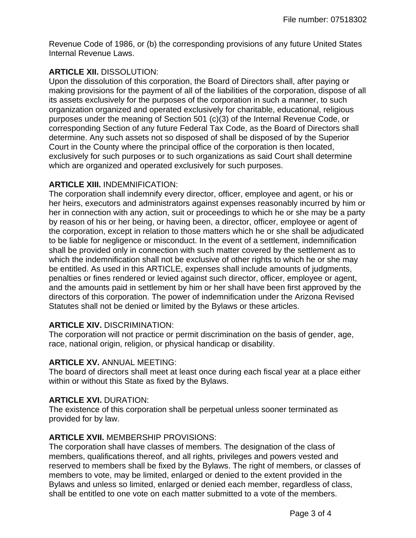Revenue Code of 1986, or (b) the corresponding provisions of any future United States Internal Revenue Laws.

# **ARTICLE XII.** DISSOLUTION:

Upon the dissolution of this corporation, the Board of Directors shall, after paying or making provisions for the payment of all of the liabilities of the corporation, dispose of all its assets exclusively for the purposes of the corporation in such a manner, to such organization organized and operated exclusively for charitable, educational, religious purposes under the meaning of Section 501 (c)(3) of the Internal Revenue Code, or corresponding Section of any future Federal Tax Code, as the Board of Directors shall determine. Any such assets not so disposed of shall be disposed of by the Superior Court in the County where the principal office of the corporation is then located, exclusively for such purposes or to such organizations as said Court shall determine which are organized and operated exclusively for such purposes.

# **ARTICLE XIII.** INDEMNIFICATION:

The corporation shall indemnify every director, officer, employee and agent, or his or her heirs, executors and administrators against expenses reasonably incurred by him or her in connection with any action, suit or proceedings to which he or she may be a party by reason of his or her being, or having been, a director, officer, employee or agent of the corporation, except in relation to those matters which he or she shall be adjudicated to be liable for negligence or misconduct. In the event of a settlement, indemnification shall be provided only in connection with such matter covered by the settlement as to which the indemnification shall not be exclusive of other rights to which he or she may be entitled. As used in this ARTICLE, expenses shall include amounts of judgments, penalties or fines rendered or levied against such director, officer, employee or agent, and the amounts paid in settlement by him or her shall have been first approved by the directors of this corporation. The power of indemnification under the Arizona Revised Statutes shall not be denied or limited by the Bylaws or these articles.

#### **ARTICLE XIV.** DISCRIMINATION:

The corporation will not practice or permit discrimination on the basis of gender, age, race, national origin, religion, or physical handicap or disability.

#### **ARTICLE XV.** ANNUAL MEETING:

The board of directors shall meet at least once during each fiscal year at a place either within or without this State as fixed by the Bylaws.

#### **ARTICLE XVI.** DURATION:

The existence of this corporation shall be perpetual unless sooner terminated as provided for by law.

## **ARTICLE XVII.** MEMBERSHIP PROVISIONS:

The corporation shall have classes of members. The designation of the class of members, qualifications thereof, and all rights, privileges and powers vested and reserved to members shall be fixed by the Bylaws. The right of members, or classes of members to vote, may be limited, enlarged or denied to the extent provided in the Bylaws and unless so limited, enlarged or denied each member, regardless of class, shall be entitled to one vote on each matter submitted to a vote of the members.